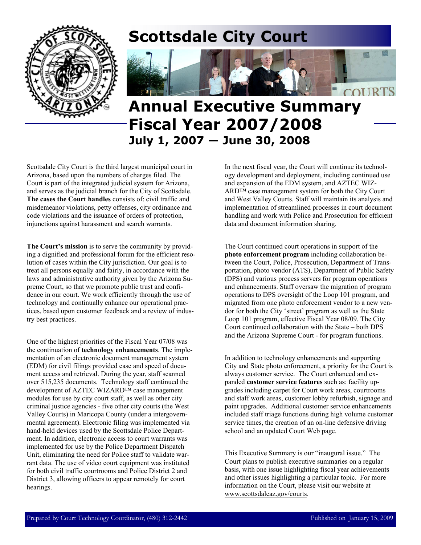

# **Scottsdale City Court**



# **Annual Executive Summary Fiscal Year 2007/2008 July 1, 2007 — June 30, 2008**

Scottsdale City Court is the third largest municipal court in Arizona, based upon the numbers of charges filed. The Court is part of the integrated judicial system for Arizona, and serves as the judicial branch for the City of Scottsdale. **The cases the Court handles** consists of: civil traffic and misdemeanor violations, petty offenses, city ordinance and code violations and the issuance of orders of protection, injunctions against harassment and search warrants.

**The Court's mission** is to serve the community by providing a dignified and professional forum for the efficient resolution of cases within the City jurisdiction. Our goal is to treat all persons equally and fairly, in accordance with the laws and administrative authority given by the Arizona Supreme Court, so that we promote public trust and confidence in our court. We work efficiently through the use of technology and continually enhance our operational practices, based upon customer feedback and a review of industry best practices.

One of the highest priorities of the Fiscal Year 07/08 was the continuation of **technology enhancements**. The implementation of an electronic document management system (EDM) for civil filings provided ease and speed of document access and retrieval. During the year, staff scanned over 515,235 documents. Technology staff continued the development of AZTEC WIZARD™ case management modules for use by city court staff, as well as other city criminal justice agencies - five other city courts (the West Valley Courts) in Maricopa County (under a intergovernmental agreement). Electronic filing was implemented via hand-held devices used by the Scottsdale Police Department. In addition, electronic access to court warrants was implemented for use by the Police Department Dispatch Unit, eliminating the need for Police staff to validate warrant data. The use of video court equipment was instituted for both civil traffic courtrooms and Police District 2 and District 3, allowing officers to appear remotely for court hearings.

In the next fiscal year, the Court will continue its technology development and deployment, including continued use and expansion of the EDM system, and AZTEC WIZ-ARD™ case management system for both the City Court and West Valley Courts. Staff will maintain its analysis and implementation of streamlined processes in court document handling and work with Police and Prosecution for efficient data and document information sharing.

The Court continued court operations in support of the **photo enforcement program** including collaboration between the Court, Police, Prosecution, Department of Transportation, photo vendor (ATS), Department of Public Safety (DPS) and various process servers for program operations and enhancements. Staff oversaw the migration of program operations to DPS oversight of the Loop 101 program, and migrated from one photo enforcement vendor to a new vendor for both the City 'street' program as well as the State Loop 101 program, effective Fiscal Year 08/09. The City Court continued collaboration with the State – both DPS and the Arizona Supreme Court - for program functions.

In addition to technology enhancements and supporting City and State photo enforcement, a priority for the Court is always customer service. The Court enhanced and expanded **customer service features** such as: facility upgrades including carpet for Court work areas, courtrooms and staff work areas, customer lobby refurbish, signage and paint upgrades. Additional customer service enhancements included staff triage functions during high volume customer service times, the creation of an on-line defensive driving school and an updated Court Web page.

This Executive Summary is our "inaugural issue." The Court plans to publish executive summaries on a regular basis, with one issue highlighting fiscal year achievements and other issues highlighting a particular topic. For more information on the Court, please visit our website at www.scottsdaleaz.gov/courts.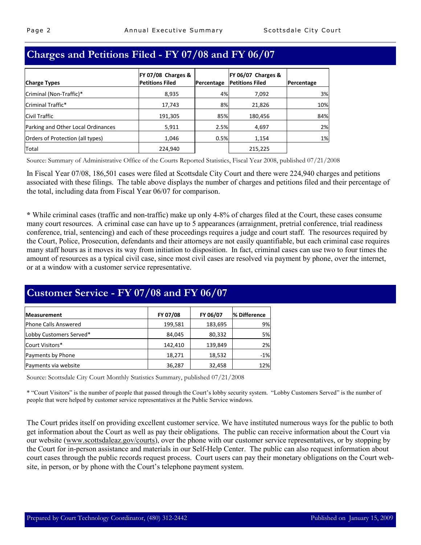|  | Charges and Petitions Filed - FY 07/08 and FY 06/07 |
|--|-----------------------------------------------------|

|                                    | FY 07/08 Charges &     |            | FY 06/07 Charges &     |            |
|------------------------------------|------------------------|------------|------------------------|------------|
| <b>Charge Types</b>                | <b>Petitions Filed</b> | Percentage | <b>Petitions Filed</b> | Percentage |
| Criminal (Non-Traffic)*            | 8,935                  | 4%         | 7,092                  | 3%         |
| Criminal Traffic*                  | 17,743                 | 8%l        | 21,826                 | 10%        |
| <b>Civil Traffic</b>               | 191,305                | 85%        | 180,456                | 84%        |
| Parking and Other Local Ordinances | 5,911                  | 2.5%       | 4,697                  | 2%         |
| Orders of Protection (all types)   | 1,046                  | 0.5%       | 1,154                  | 1%         |
| Total                              | 224,940                |            | 215,225                |            |

Source: Summary of Administrative Office of the Courts Reported Statistics, Fiscal Year 2008, published 07/21/2008

In Fiscal Year 07/08, 186,501 cases were filed at Scottsdale City Court and there were 224,940 charges and petitions associated with these filings. The table above displays the number of charges and petitions filed and their percentage of the total, including data from Fiscal Year 06/07 for comparison.

**\*** While criminal cases (traffic and non-traffic) make up only 4-8% of charges filed at the Court, these cases consume many court resources. A criminal case can have up to 5 appearances (arraignment, pretrial conference, trial readiness conference, trial, sentencing) and each of these proceedings requires a judge and court staff. The resources required by the Court, Police, Prosecution, defendants and their attorneys are not easily quantifiable, but each criminal case requires many staff hours as it moves its way from initiation to disposition. In fact, criminal cases can use two to four times the amount of resources as a typical civil case, since most civil cases are resolved via payment by phone, over the internet, or at a window with a customer service representative.

## **Customer Service - FY 07/08 and FY 06/07**

| <b>Measurement</b>      | FY 07/08 | FY 06/07 | % Difference |
|-------------------------|----------|----------|--------------|
| Phone Calls Answered    | 199,581  | 183,695  | 9%           |
| Lobby Customers Served* | 84,045   | 80,332   | 5%           |
| Court Visitors*         | 142,410  | 139,849  | 2%           |
| Payments by Phone       | 18,271   | 18,532   | $-1%$        |
| Payments via website    | 36,287   | 32,458   | 12%          |

Source: Scottsdale City Court Monthly Statistics Summary, published 07/21/2008

\* "Court Visitors" is the number of people that passed through the Court's lobby security system. "Lobby Customers Served" is the number of people that were helped by customer service representatives at the Public Service windows.

The Court prides itself on providing excellent customer service. We have instituted numerous ways for the public to both get information about the Court as well as pay their obligations. The public can receive information about the Court via our website (www.scottsdaleaz.gov/courts), over the phone with our customer service representatives, or by stopping by the Court for in-person assistance and materials in our Self-Help Center. The public can also request information about court cases through the public records request process. Court users can pay their monetary obligations on the Court website, in person, or by phone with the Court's telephone payment system.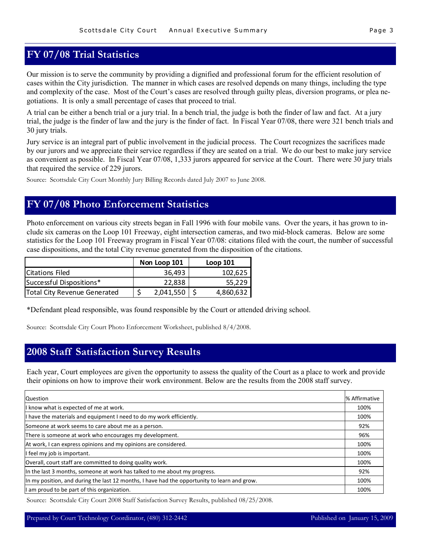## **FY 07/08 Trial Statistics**

Our mission is to serve the community by providing a dignified and professional forum for the efficient resolution of cases within the City jurisdiction. The manner in which cases are resolved depends on many things, including the type and complexity of the case. Most of the Court's cases are resolved through guilty pleas, diversion programs, or plea negotiations. It is only a small percentage of cases that proceed to trial.

A trial can be either a bench trial or a jury trial. In a bench trial, the judge is both the finder of law and fact. At a jury trial, the judge is the finder of law and the jury is the finder of fact. In Fiscal Year 07/08, there were 321 bench trials and 30 jury trials.

Jury service is an integral part of public involvement in the judicial process. The Court recognizes the sacrifices made by our jurors and we appreciate their service regardless if they are seated on a trial. We do our best to make jury service as convenient as possible. In Fiscal Year 07/08, 1,333 jurors appeared for service at the Court. There were 30 jury trials that required the service of 229 jurors.

Source: Scottsdale City Court Monthly Jury Billing Records dated July 2007 to June 2008.

### **FY 07/08 Photo Enforcement Statistics**

Photo enforcement on various city streets began in Fall 1996 with four mobile vans. Over the years, it has grown to include six cameras on the Loop 101 Freeway, eight intersection cameras, and two mid-block cameras. Below are some statistics for the Loop 101 Freeway program in Fiscal Year 07/08: citations filed with the court, the number of successful case dispositions, and the total City revenue generated from the disposition of the citations.

|                              | Non Loop 101 | Loop 101  |
|------------------------------|--------------|-----------|
| Citations Filed              | 36,493       | 102,625   |
| Successful Dispositions*     | 22.838       | 55,229    |
| Total City Revenue Generated | 2,041,550    | 4,860,632 |

\*Defendant plead responsible, was found responsible by the Court or attended driving school.

Source: Scottsdale City Court Photo Enforcement Worksheet, published 8/4/2008.

### **2008 Staff Satisfaction Survey Results**

Each year, Court employees are given the opportunity to assess the quality of the Court as a place to work and provide their opinions on how to improve their work environment. Below are the results from the 2008 staff survey.

| Question                                                                                     | % Affirmative |
|----------------------------------------------------------------------------------------------|---------------|
| I know what is expected of me at work.                                                       | 100%          |
| I have the materials and equipment I need to do my work efficiently.                         | 100%          |
| Someone at work seems to care about me as a person.                                          | 92%           |
| There is someone at work who encourages my development.                                      | 96%           |
| At work, I can express opinions and my opinions are considered.                              | 100%          |
| I feel my job is important.                                                                  | 100%          |
| Overall, court staff are committed to doing quality work.                                    | 100%          |
| In the last 3 months, someone at work has talked to me about my progress.                    | 92%           |
| In my position, and during the last 12 months, I have had the opportunity to learn and grow. | 100%          |
| I am proud to be part of this organization.                                                  | 100%          |

Source: Scottsdale City Court 2008 Staff Satisfaction Survey Results, published 08/25/2008.